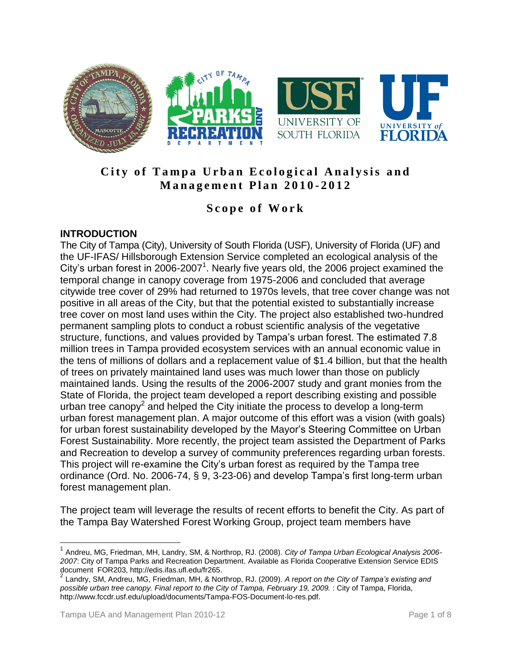

# **City of Tampa Urban Ecological Analysis and M a n a g e m e n t P l a n 201 0 - 2012**

# **S c o p e o f W o r k**

## **INTRODUCTION**

The City of Tampa (City), University of South Florida (USF), University of Florida (UF) and the UF-IFAS/ Hillsborough Extension Service completed an ecological analysis of the City's urban forest in 2006-2007<sup>1</sup>. Nearly five years old, the 2006 project examined the temporal change in canopy coverage from 1975-2006 and concluded that average citywide tree cover of 29% had returned to 1970s levels, that tree cover change was not positive in all areas of the City, but that the potential existed to substantially increase tree cover on most land uses within the City. The project also established two-hundred permanent sampling plots to conduct a robust scientific analysis of the vegetative structure, functions, and values provided by Tampa's urban forest. The estimated 7.8 million trees in Tampa provided ecosystem services with an annual economic value in the tens of millions of dollars and a replacement value of \$1.4 billion, but that the health of trees on privately maintained land uses was much lower than those on publicly maintained lands. Using the results of the 2006-2007 study and grant monies from the State of Florida, the project team developed a report describing existing and possible urban tree canopy<sup>2</sup> and helped the City initiate the process to develop a long-term urban forest management plan. A major outcome of this effort was a vision (with goals) for urban forest sustainability developed by the Mayor's Steering Committee on Urban Forest Sustainability. More recently, the project team assisted the Department of Parks and Recreation to develop a survey of community preferences regarding urban forests. This project will re-examine the City's urban forest as required by the Tampa tree ordinance (Ord. No. 2006-74, § 9, 3-23-06) and develop Tampa's first long-term urban forest management plan.

The project team will leverage the results of recent efforts to benefit the City. As part of the Tampa Bay Watershed Forest Working Group, project team members have

 $\overline{a}$ 

<sup>1</sup> Andreu, MG, Friedman, MH, Landry, SM, & Northrop, RJ. (2008). *City of Tampa Urban Ecological Analysis 2006- 2007*: City of Tampa Parks and Recreation Department. Available as Florida Cooperative Extension Service EDIS

document FOR203, http://edis.ifas.ufl.edu/fr265. 2 Landry, SM, Andreu, MG, Friedman, MH, & Northrop, RJ. (2009). *A report on the City of Tampa's existing and possible urban tree canopy. Final report to the City of Tampa, February 19, 2009.* : City of Tampa, Florida, http://www.fccdr.usf.edu/upload/documents/Tampa-FOS-Document-lo-res.pdf.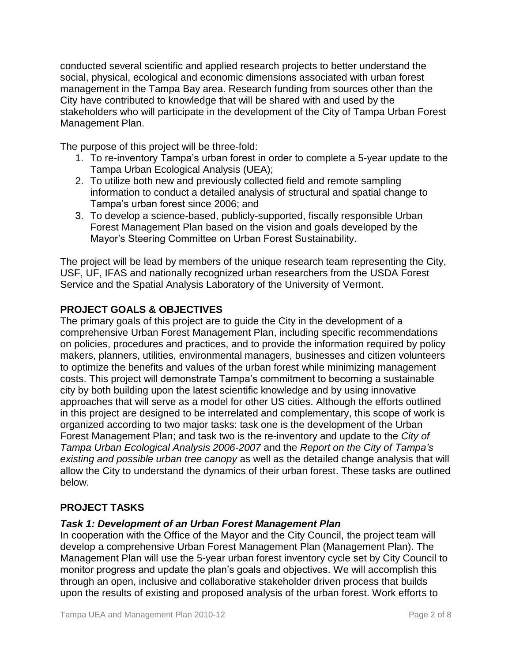conducted several scientific and applied research projects to better understand the social, physical, ecological and economic dimensions associated with urban forest management in the Tampa Bay area. Research funding from sources other than the City have contributed to knowledge that will be shared with and used by the stakeholders who will participate in the development of the City of Tampa Urban Forest Management Plan.

The purpose of this project will be three-fold:

- 1. To re-inventory Tampa's urban forest in order to complete a 5-year update to the Tampa Urban Ecological Analysis (UEA);
- 2. To utilize both new and previously collected field and remote sampling information to conduct a detailed analysis of structural and spatial change to Tampa's urban forest since 2006; and
- 3. To develop a science-based, publicly-supported, fiscally responsible Urban Forest Management Plan based on the vision and goals developed by the Mayor's Steering Committee on Urban Forest Sustainability.

The project will be lead by members of the unique research team representing the City, USF, UF, IFAS and nationally recognized urban researchers from the USDA Forest Service and the Spatial Analysis Laboratory of the University of Vermont.

# **PROJECT GOALS & OBJECTIVES**

The primary goals of this project are to guide the City in the development of a comprehensive Urban Forest Management Plan, including specific recommendations on policies, procedures and practices, and to provide the information required by policy makers, planners, utilities, environmental managers, businesses and citizen volunteers to optimize the benefits and values of the urban forest while minimizing management costs. This project will demonstrate Tampa's commitment to becoming a sustainable city by both building upon the latest scientific knowledge and by using innovative approaches that will serve as a model for other US cities. Although the efforts outlined in this project are designed to be interrelated and complementary, this scope of work is organized according to two major tasks: task one is the development of the Urban Forest Management Plan; and task two is the re-inventory and update to the *City of Tampa Urban Ecological Analysis 2006-2007* and the *Report on the City of Tampa's existing and possible urban tree canopy* as well as the detailed change analysis that will allow the City to understand the dynamics of their urban forest. These tasks are outlined below.

# **PROJECT TASKS**

#### *Task 1: Development of an Urban Forest Management Plan*

In cooperation with the Office of the Mayor and the City Council, the project team will develop a comprehensive Urban Forest Management Plan (Management Plan). The Management Plan will use the 5-year urban forest inventory cycle set by City Council to monitor progress and update the plan's goals and objectives. We will accomplish this through an open, inclusive and collaborative stakeholder driven process that builds upon the results of existing and proposed analysis of the urban forest. Work efforts to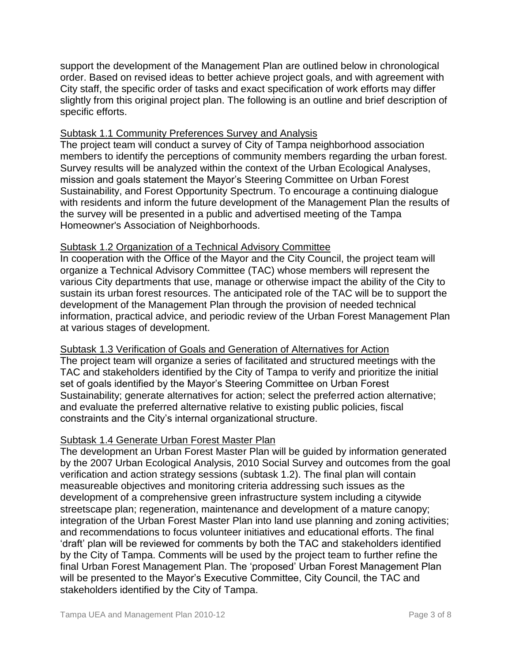support the development of the Management Plan are outlined below in chronological order. Based on revised ideas to better achieve project goals, and with agreement with City staff, the specific order of tasks and exact specification of work efforts may differ slightly from this original project plan. The following is an outline and brief description of specific efforts.

### Subtask 1.1 Community Preferences Survey and Analysis

The project team will conduct a survey of City of Tampa neighborhood association members to identify the perceptions of community members regarding the urban forest. Survey results will be analyzed within the context of the Urban Ecological Analyses, mission and goals statement the Mayor's Steering Committee on Urban Forest Sustainability, and Forest Opportunity Spectrum. To encourage a continuing dialogue with residents and inform the future development of the Management Plan the results of the survey will be presented in a public and advertised meeting of the Tampa Homeowner's Association of Neighborhoods.

## Subtask 1.2 Organization of a Technical Advisory Committee

In cooperation with the Office of the Mayor and the City Council, the project team will organize a Technical Advisory Committee (TAC) whose members will represent the various City departments that use, manage or otherwise impact the ability of the City to sustain its urban forest resources. The anticipated role of the TAC will be to support the development of the Management Plan through the provision of needed technical information, practical advice, and periodic review of the Urban Forest Management Plan at various stages of development.

#### Subtask 1.3 Verification of Goals and Generation of Alternatives for Action

The project team will organize a series of facilitated and structured meetings with the TAC and stakeholders identified by the City of Tampa to verify and prioritize the initial set of goals identified by the Mayor's Steering Committee on Urban Forest Sustainability; generate alternatives for action; select the preferred action alternative; and evaluate the preferred alternative relative to existing public policies, fiscal constraints and the City's internal organizational structure.

# Subtask 1.4 Generate Urban Forest Master Plan

The development an Urban Forest Master Plan will be guided by information generated by the 2007 Urban Ecological Analysis, 2010 Social Survey and outcomes from the goal verification and action strategy sessions (subtask 1.2). The final plan will contain measureable objectives and monitoring criteria addressing such issues as the development of a comprehensive green infrastructure system including a citywide streetscape plan; regeneration, maintenance and development of a mature canopy; integration of the Urban Forest Master Plan into land use planning and zoning activities; and recommendations to focus volunteer initiatives and educational efforts. The final 'draft' plan will be reviewed for comments by both the TAC and stakeholders identified by the City of Tampa. Comments will be used by the project team to further refine the final Urban Forest Management Plan. The 'proposed' Urban Forest Management Plan will be presented to the Mayor's Executive Committee, City Council, the TAC and stakeholders identified by the City of Tampa.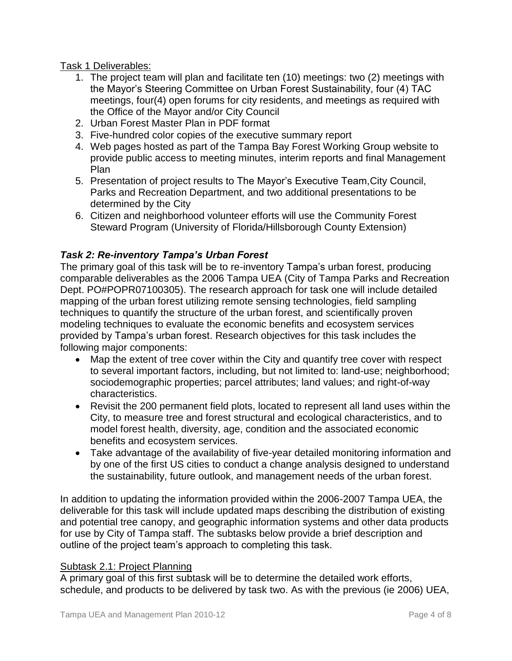Task 1 Deliverables:

- 1. The project team will plan and facilitate ten (10) meetings: two (2) meetings with the Mayor's Steering Committee on Urban Forest Sustainability, four (4) TAC meetings, four(4) open forums for city residents, and meetings as required with the Office of the Mayor and/or City Council
- 2. Urban Forest Master Plan in PDF format
- 3. Five-hundred color copies of the executive summary report
- 4. Web pages hosted as part of the Tampa Bay Forest Working Group website to provide public access to meeting minutes, interim reports and final Management Plan
- 5. Presentation of project results to The Mayor's Executive Team,City Council, Parks and Recreation Department, and two additional presentations to be determined by the City
- 6. Citizen and neighborhood volunteer efforts will use the Community Forest Steward Program (University of Florida/Hillsborough County Extension)

## *Task 2: Re-inventory Tampa's Urban Forest*

The primary goal of this task will be to re-inventory Tampa's urban forest, producing comparable deliverables as the 2006 Tampa UEA (City of Tampa Parks and Recreation Dept. PO#POPR07100305). The research approach for task one will include detailed mapping of the urban forest utilizing remote sensing technologies, field sampling techniques to quantify the structure of the urban forest, and scientifically proven modeling techniques to evaluate the economic benefits and ecosystem services provided by Tampa's urban forest. Research objectives for this task includes the following major components:

- Map the extent of tree cover within the City and quantify tree cover with respect to several important factors, including, but not limited to: land-use; neighborhood; sociodemographic properties; parcel attributes; land values; and right-of-way characteristics.
- Revisit the 200 permanent field plots, located to represent all land uses within the City, to measure tree and forest structural and ecological characteristics, and to model forest health, diversity, age, condition and the associated economic benefits and ecosystem services.
- Take advantage of the availability of five-year detailed monitoring information and by one of the first US cities to conduct a change analysis designed to understand the sustainability, future outlook, and management needs of the urban forest.

In addition to updating the information provided within the 2006-2007 Tampa UEA, the deliverable for this task will include updated maps describing the distribution of existing and potential tree canopy, and geographic information systems and other data products for use by City of Tampa staff. The subtasks below provide a brief description and outline of the project team's approach to completing this task.

#### Subtask 2.1: Project Planning

A primary goal of this first subtask will be to determine the detailed work efforts, schedule, and products to be delivered by task two. As with the previous (ie 2006) UEA,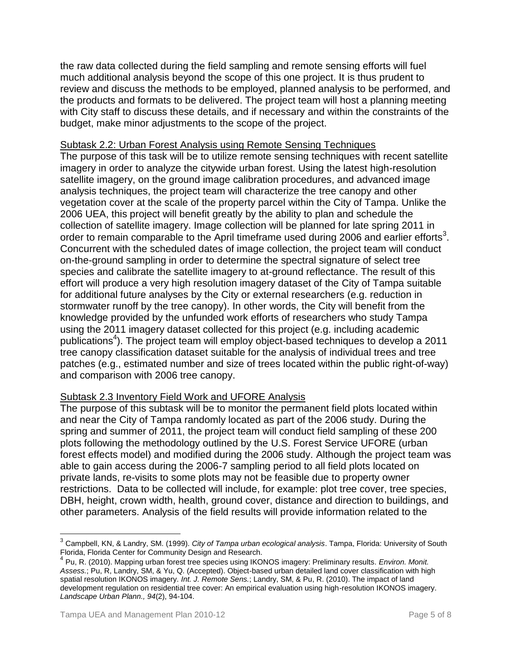the raw data collected during the field sampling and remote sensing efforts will fuel much additional analysis beyond the scope of this one project. It is thus prudent to review and discuss the methods to be employed, planned analysis to be performed, and the products and formats to be delivered. The project team will host a planning meeting with City staff to discuss these details, and if necessary and within the constraints of the budget, make minor adjustments to the scope of the project.

#### Subtask 2.2: Urban Forest Analysis using Remote Sensing Techniques

The purpose of this task will be to utilize remote sensing techniques with recent satellite imagery in order to analyze the citywide urban forest. Using the latest high-resolution satellite imagery, on the ground image calibration procedures, and advanced image analysis techniques, the project team will characterize the tree canopy and other vegetation cover at the scale of the property parcel within the City of Tampa. Unlike the 2006 UEA, this project will benefit greatly by the ability to plan and schedule the collection of satellite imagery. Image collection will be planned for late spring 2011 in order to remain comparable to the April timeframe used during 2006 and earlier efforts<sup>3</sup>. Concurrent with the scheduled dates of image collection, the project team will conduct on-the-ground sampling in order to determine the spectral signature of select tree species and calibrate the satellite imagery to at-ground reflectance. The result of this effort will produce a very high resolution imagery dataset of the City of Tampa suitable for additional future analyses by the City or external researchers (e.g. reduction in stormwater runoff by the tree canopy). In other words, the City will benefit from the knowledge provided by the unfunded work efforts of researchers who study Tampa using the 2011 imagery dataset collected for this project (e.g. including academic publications<sup>4</sup>). The project team will employ object-based techniques to develop a 2011 tree canopy classification dataset suitable for the analysis of individual trees and tree patches (e.g., estimated number and size of trees located within the public right-of-way) and comparison with 2006 tree canopy.

#### Subtask 2.3 Inventory Field Work and UFORE Analysis

The purpose of this subtask will be to monitor the permanent field plots located within and near the City of Tampa randomly located as part of the 2006 study. During the spring and summer of 2011, the project team will conduct field sampling of these 200 plots following the methodology outlined by the U.S. Forest Service UFORE (urban forest effects model) and modified during the 2006 study. Although the project team was able to gain access during the 2006-7 sampling period to all field plots located on private lands, re-visits to some plots may not be feasible due to property owner restrictions. Data to be collected will include, for example: plot tree cover, tree species, DBH, height, crown width, health, ground cover, distance and direction to buildings, and other parameters. Analysis of the field results will provide information related to the

 3 Campbell, KN, & Landry, SM. (1999). *City of Tampa urban ecological analysis*. Tampa, Florida: University of South

Florida, Florida Center for Community Design and Research. 4 Pu, R. (2010). Mapping urban forest tree species using IKONOS imagery: Preliminary results. *Environ. Monit. Assess.*; Pu, R, Landry, SM, & Yu, Q. (Accepted). Object-based urban detailed land cover classification with high spatial resolution IKONOS imagery. *Int. J. Remote Sens.*; Landry, SM, & Pu, R. (2010). The impact of land development regulation on residential tree cover: An empirical evaluation using high-resolution IKONOS imagery. *Landscape Urban Plann., 94*(2), 94-104.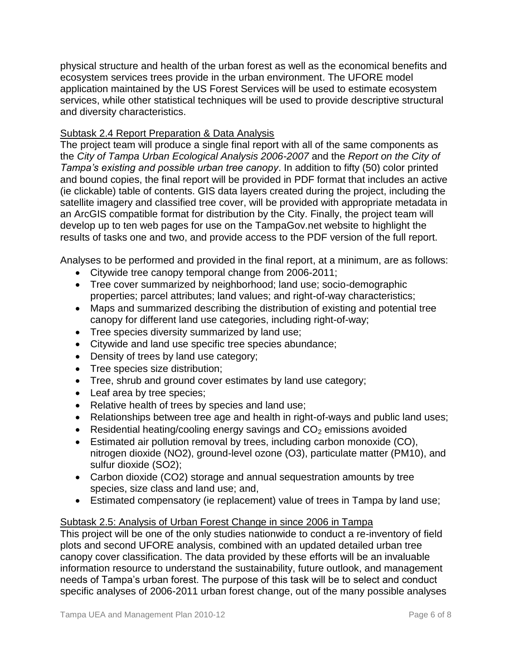physical structure and health of the urban forest as well as the economical benefits and ecosystem services trees provide in the urban environment. The UFORE model application maintained by the US Forest Services will be used to estimate ecosystem services, while other statistical techniques will be used to provide descriptive structural and diversity characteristics.

### Subtask 2.4 Report Preparation & Data Analysis

The project team will produce a single final report with all of the same components as the *City of Tampa Urban Ecological Analysis 2006-2007* and the *Report on the City of Tampa's existing and possible urban tree canopy*. In addition to fifty (50) color printed and bound copies, the final report will be provided in PDF format that includes an active (ie clickable) table of contents. GIS data layers created during the project, including the satellite imagery and classified tree cover, will be provided with appropriate metadata in an ArcGIS compatible format for distribution by the City. Finally, the project team will develop up to ten web pages for use on the TampaGov.net website to highlight the results of tasks one and two, and provide access to the PDF version of the full report.

Analyses to be performed and provided in the final report, at a minimum, are as follows:

- Citywide tree canopy temporal change from 2006-2011;
- Tree cover summarized by neighborhood; land use; socio-demographic properties; parcel attributes; land values; and right-of-way characteristics;
- Maps and summarized describing the distribution of existing and potential tree canopy for different land use categories, including right-of-way;
- Tree species diversity summarized by land use;
- Citywide and land use specific tree species abundance;
- Density of trees by land use category;
- Tree species size distribution;
- Tree, shrub and ground cover estimates by land use category;
- Leaf area by tree species;
- Relative health of trees by species and land use;
- Relationships between tree age and health in right-of-ways and public land uses;
- Residential heating/cooling energy savings and  $CO<sub>2</sub>$  emissions avoided
- Estimated air pollution removal by trees, including carbon monoxide (CO), nitrogen dioxide (NO2), ground-level ozone (O3), particulate matter (PM10), and sulfur dioxide (SO2);
- Carbon dioxide (CO2) storage and annual sequestration amounts by tree species, size class and land use; and,
- Estimated compensatory (ie replacement) value of trees in Tampa by land use;

# Subtask 2.5: Analysis of Urban Forest Change in since 2006 in Tampa

This project will be one of the only studies nationwide to conduct a re-inventory of field plots and second UFORE analysis, combined with an updated detailed urban tree canopy cover classification. The data provided by these efforts will be an invaluable information resource to understand the sustainability, future outlook, and management needs of Tampa's urban forest. The purpose of this task will be to select and conduct specific analyses of 2006-2011 urban forest change, out of the many possible analyses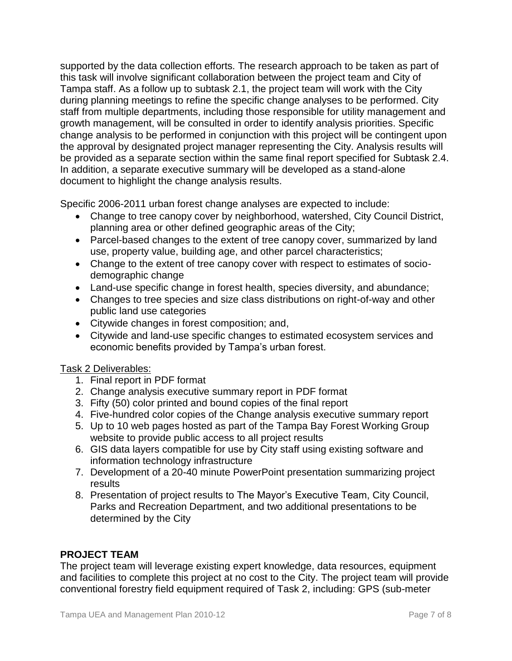supported by the data collection efforts. The research approach to be taken as part of this task will involve significant collaboration between the project team and City of Tampa staff. As a follow up to subtask 2.1, the project team will work with the City during planning meetings to refine the specific change analyses to be performed. City staff from multiple departments, including those responsible for utility management and growth management, will be consulted in order to identify analysis priorities. Specific change analysis to be performed in conjunction with this project will be contingent upon the approval by designated project manager representing the City. Analysis results will be provided as a separate section within the same final report specified for Subtask 2.4. In addition, a separate executive summary will be developed as a stand-alone document to highlight the change analysis results.

Specific 2006-2011 urban forest change analyses are expected to include:

- Change to tree canopy cover by neighborhood, watershed, City Council District, planning area or other defined geographic areas of the City;
- Parcel-based changes to the extent of tree canopy cover, summarized by land use, property value, building age, and other parcel characteristics;
- Change to the extent of tree canopy cover with respect to estimates of sociodemographic change
- Land-use specific change in forest health, species diversity, and abundance;
- Changes to tree species and size class distributions on right-of-way and other public land use categories
- Citywide changes in forest composition; and,
- Citywide and land-use specific changes to estimated ecosystem services and economic benefits provided by Tampa's urban forest.

# Task 2 Deliverables:

- 1. Final report in PDF format
- 2. Change analysis executive summary report in PDF format
- 3. Fifty (50) color printed and bound copies of the final report
- 4. Five-hundred color copies of the Change analysis executive summary report
- 5. Up to 10 web pages hosted as part of the Tampa Bay Forest Working Group website to provide public access to all project results
- 6. GIS data layers compatible for use by City staff using existing software and information technology infrastructure
- 7. Development of a 20-40 minute PowerPoint presentation summarizing project results
- 8. Presentation of project results to The Mayor's Executive Team, City Council, Parks and Recreation Department, and two additional presentations to be determined by the City

# **PROJECT TEAM**

The project team will leverage existing expert knowledge, data resources, equipment and facilities to complete this project at no cost to the City. The project team will provide conventional forestry field equipment required of Task 2, including: GPS (sub-meter